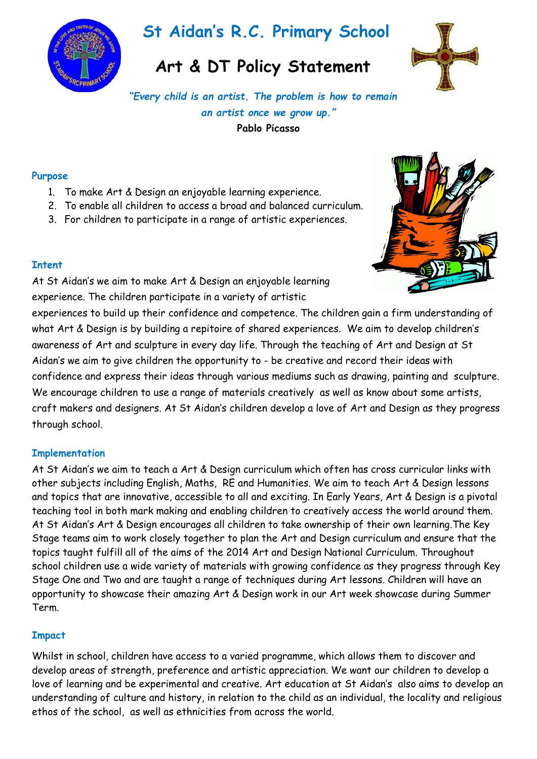

# **St Aidan's R.C. Primary School**

## **Art & DT Policy Statement**



*"Every child is an artist. The problem is how to remain an artist once we grow up."* **Pablo Picasso**

#### **Purpose**

- 1. To make Art & Design an enjoyable learning experience.
- 2. To enable all children to access a broad and balanced curriculum.
- 3. For children to participate in a range of artistic experiences.



#### **Intent**

At St Aidan's we aim to make Art & Design an enjoyable learning experience. The children participate in a variety of artistic

experiences to build up their confidence and competence. The children gain a firm understanding of what Art & Design is by building a repitoire of shared experiences. We aim to develop children's awareness of Art and sculpture in every day life. Through the teaching of Art and Design at St Aidan's we aim to give children the opportunity to - be creative and record their ideas with confidence and express their ideas through various mediums such as drawing, painting and sculpture. We encourage children to use a range of materials creatively as well as know about some artists, craft makers and designers. At St Aidan's children develop a love of Art and Design as they progress through school.

### **Implementation**

At St Aidan's we aim to teach a Art & Design curriculum which often has cross curricular links with other subjects including English, Maths, RE and Humanities. We aim to teach Art & Design lessons and topics that are innovative, accessible to all and exciting. In Early Years, Art & Design is a pivotal teaching tool in both mark making and enabling children to creatively access the world around them. At St Aidan's Art & Design encourages all children to take ownership of their own learning.The Key Stage teams aim to work closely together to plan the Art and Design curriculum and ensure that the topics taught fulfill all of the aims of the 2014 Art and Design National Curriculum. Throughout school children use a wide variety of materials with growing confidence as they progress through Key Stage One and Two and are taught a range of techniques during Art lessons. Children will have an opportunity to showcase their amazing Art & Design work in our Art week showcase during Summer Term.

### **Impact**

Whilst in school, children have access to a varied programme, which allows them to discover and develop areas of strength, preference and artistic appreciation. We want our children to develop a love of learning and be experimental and creative. Art education at St Aidan's also aims to develop an understanding of culture and history, in relation to the child as an individual, the locality and religious ethos of the school, as well as ethnicities from across the world.